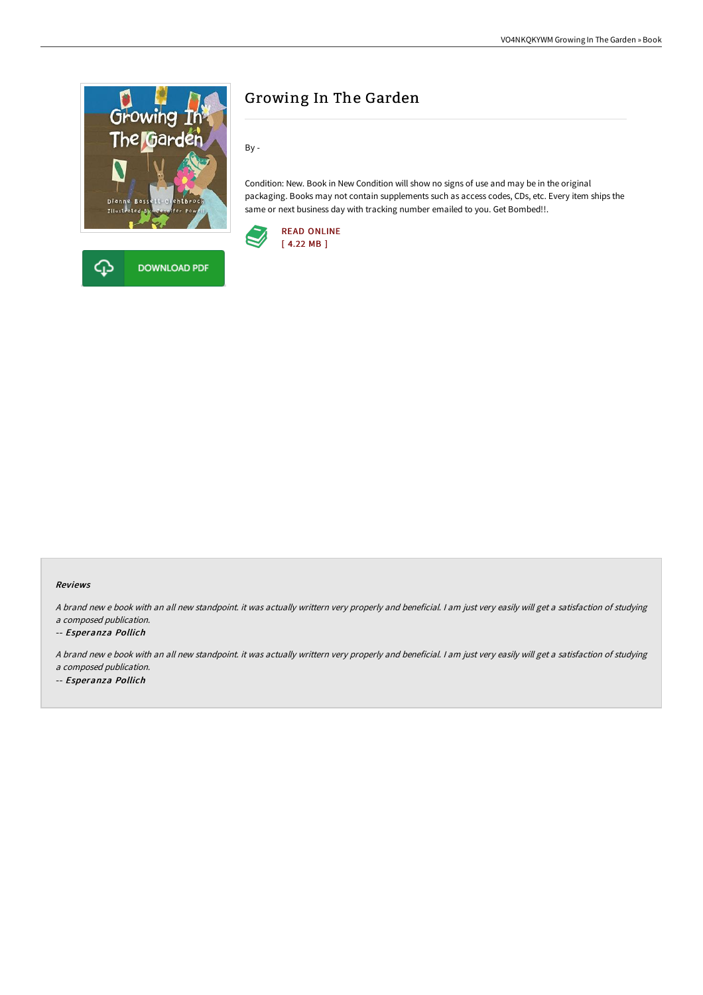



By -

Condition: New. Book in New Condition will show no signs of use and may be in the original packaging. Books may not contain supplements such as access codes, CDs, etc. Every item ships the same or next business day with tracking number emailed to you. Get Bombed!!.



## Reviews

<sup>A</sup> brand new <sup>e</sup> book with an all new standpoint. it was actually writtern very properly and beneficial. <sup>I</sup> am just very easily will get <sup>a</sup> satisfaction of studying <sup>a</sup> composed publication.

-- Esperanza Pollich

<sup>A</sup> brand new <sup>e</sup> book with an all new standpoint. it was actually writtern very properly and beneficial. <sup>I</sup> am just very easily will get <sup>a</sup> satisfaction of studying <sup>a</sup> composed publication.

-- Esperanza Pollich